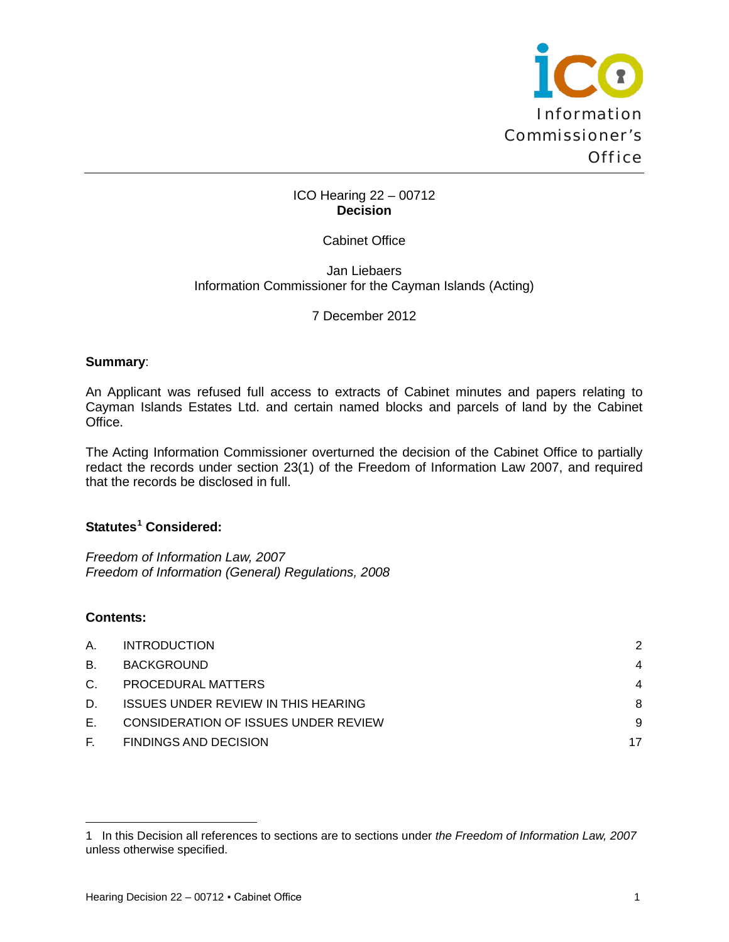

#### ICO Hearing 22 – 00712 **Decision**

#### Cabinet Office

Jan Liebaers Information Commissioner for the Cayman Islands (Acting)

7 December 2012

#### **Summary**:

An Applicant was refused full access to extracts of Cabinet minutes and papers relating to Cayman Islands Estates Ltd. and certain named blocks and parcels of land by the Cabinet Office.

The Acting Information Commissioner overturned the decision of the Cabinet Office to partially redact the records under section 23(1) of the Freedom of Information Law 2007, and required that the records be disclosed in full.

# **Statutes[1](#page-0-0) Considered:**

*Freedom of Information Law, 2007 Freedom of Information (General) Regulations, 2008*

## **Contents:**

| А.      | <b>INTRODUCTION</b>                         | 2  |
|---------|---------------------------------------------|----|
| В.      | BACKGROUND                                  | 4  |
| $C_{1}$ | PROCEDURAL MATTERS                          | 4  |
| D.      | <b>ISSUES UNDER REVIEW IN THIS HEARING</b>  | 8  |
| Е.      | <b>CONSIDERATION OF ISSUES UNDER REVIEW</b> | 9  |
| F. .    | <b>FINDINGS AND DECISION</b>                | 17 |

<span id="page-0-0"></span><sup>1</sup> In this Decision all references to sections are to sections under *the Freedom of Information Law, 2007* unless otherwise specified.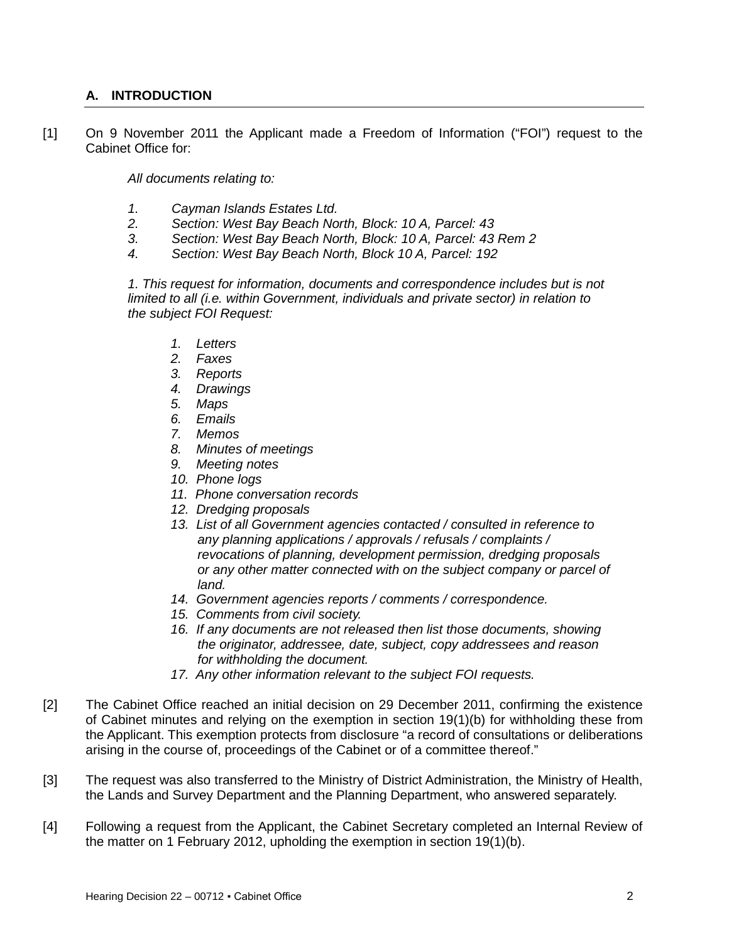## <span id="page-1-0"></span>**A. INTRODUCTION**

[1] On 9 November 2011 the Applicant made a Freedom of Information ("FOI") request to the Cabinet Office for:

*All documents relating to:*

- *1. Cayman Islands Estates Ltd.*
- *2. Section: West Bay Beach North, Block: 10 A, Parcel: 43*
- *3. Section: West Bay Beach North, Block: 10 A, Parcel: 43 Rem 2*
- *4. Section: West Bay Beach North, Block 10 A, Parcel: 192*

*1. This request for information, documents and correspondence includes but is not limited to all (i.e. within Government, individuals and private sector) in relation to the subject FOI Request:*

- *1. Letters*
- *2. Faxes*
- *3. Reports*
- *4. Drawings*
- *5. Maps*
- *6. Emails*
- *7. Memos*
- *8. Minutes of meetings*
- *9. Meeting notes*
- *10. Phone logs*
- *11. Phone conversation records*
- *12. Dredging proposals*
- *13. List of all Government agencies contacted / consulted in reference to any planning applications / approvals / refusals / complaints / revocations of planning, development permission, dredging proposals or any other matter connected with on the subject company or parcel of land.*
- *14. Government agencies reports / comments / correspondence.*
- *15. Comments from civil society.*
- *16. If any documents are not released then list those documents, showing the originator, addressee, date, subject, copy addressees and reason for withholding the document.*
- *17. Any other information relevant to the subject FOI requests.*
- [2] The Cabinet Office reached an initial decision on 29 December 2011, confirming the existence of Cabinet minutes and relying on the exemption in section 19(1)(b) for withholding these from the Applicant. This exemption protects from disclosure "a record of consultations or deliberations arising in the course of, proceedings of the Cabinet or of a committee thereof."
- [3] The request was also transferred to the Ministry of District Administration, the Ministry of Health, the Lands and Survey Department and the Planning Department, who answered separately.
- [4] Following a request from the Applicant, the Cabinet Secretary completed an Internal Review of the matter on 1 February 2012, upholding the exemption in section 19(1)(b).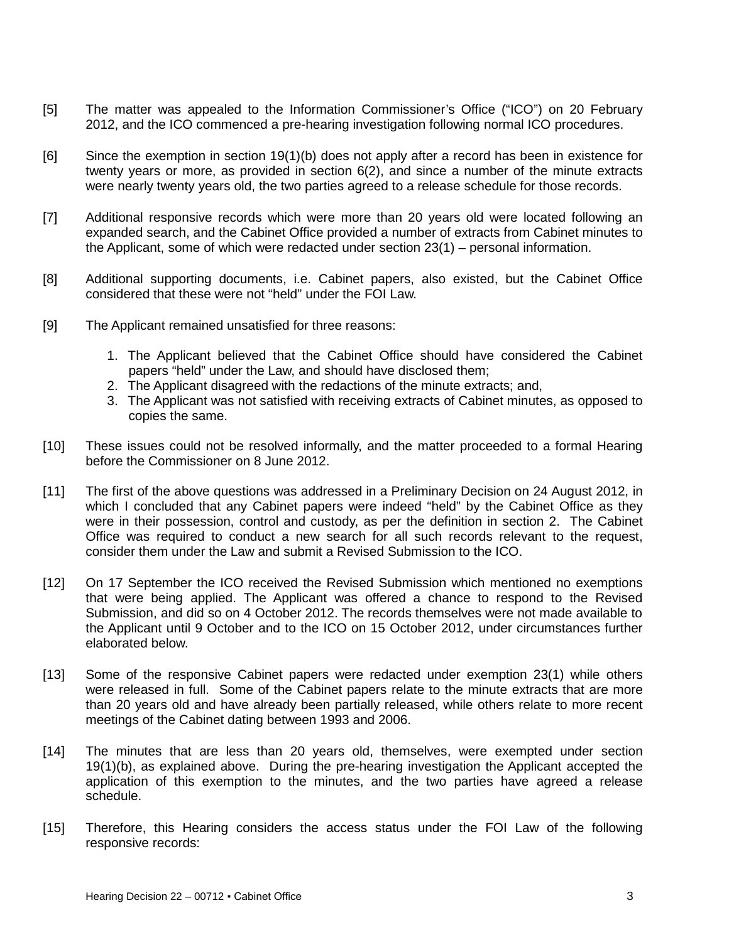- [5] The matter was appealed to the Information Commissioner's Office ("ICO") on 20 February 2012, and the ICO commenced a pre-hearing investigation following normal ICO procedures.
- [6] Since the exemption in section 19(1)(b) does not apply after a record has been in existence for twenty years or more, as provided in section 6(2), and since a number of the minute extracts were nearly twenty years old, the two parties agreed to a release schedule for those records.
- [7] Additional responsive records which were more than 20 years old were located following an expanded search, and the Cabinet Office provided a number of extracts from Cabinet minutes to the Applicant, some of which were redacted under section 23(1) – personal information.
- [8] Additional supporting documents, i.e. Cabinet papers, also existed, but the Cabinet Office considered that these were not "held" under the FOI Law.
- [9] The Applicant remained unsatisfied for three reasons:
	- 1. The Applicant believed that the Cabinet Office should have considered the Cabinet papers "held" under the Law, and should have disclosed them;
	- 2. The Applicant disagreed with the redactions of the minute extracts; and,
	- 3. The Applicant was not satisfied with receiving extracts of Cabinet minutes, as opposed to copies the same.
- [10] These issues could not be resolved informally, and the matter proceeded to a formal Hearing before the Commissioner on 8 June 2012.
- [11] The first of the above questions was addressed in a Preliminary Decision on 24 August 2012, in which I concluded that any Cabinet papers were indeed "held" by the Cabinet Office as they were in their possession, control and custody, as per the definition in section 2. The Cabinet Office was required to conduct a new search for all such records relevant to the request, consider them under the Law and submit a Revised Submission to the ICO.
- [12] On 17 September the ICO received the Revised Submission which mentioned no exemptions that were being applied. The Applicant was offered a chance to respond to the Revised Submission, and did so on 4 October 2012. The records themselves were not made available to the Applicant until 9 October and to the ICO on 15 October 2012, under circumstances further elaborated below.
- [13] Some of the responsive Cabinet papers were redacted under exemption 23(1) while others were released in full. Some of the Cabinet papers relate to the minute extracts that are more than 20 years old and have already been partially released, while others relate to more recent meetings of the Cabinet dating between 1993 and 2006.
- [14] The minutes that are less than 20 years old, themselves, were exempted under section 19(1)(b), as explained above. During the pre-hearing investigation the Applicant accepted the application of this exemption to the minutes, and the two parties have agreed a release schedule.
- [15] Therefore, this Hearing considers the access status under the FOI Law of the following responsive records: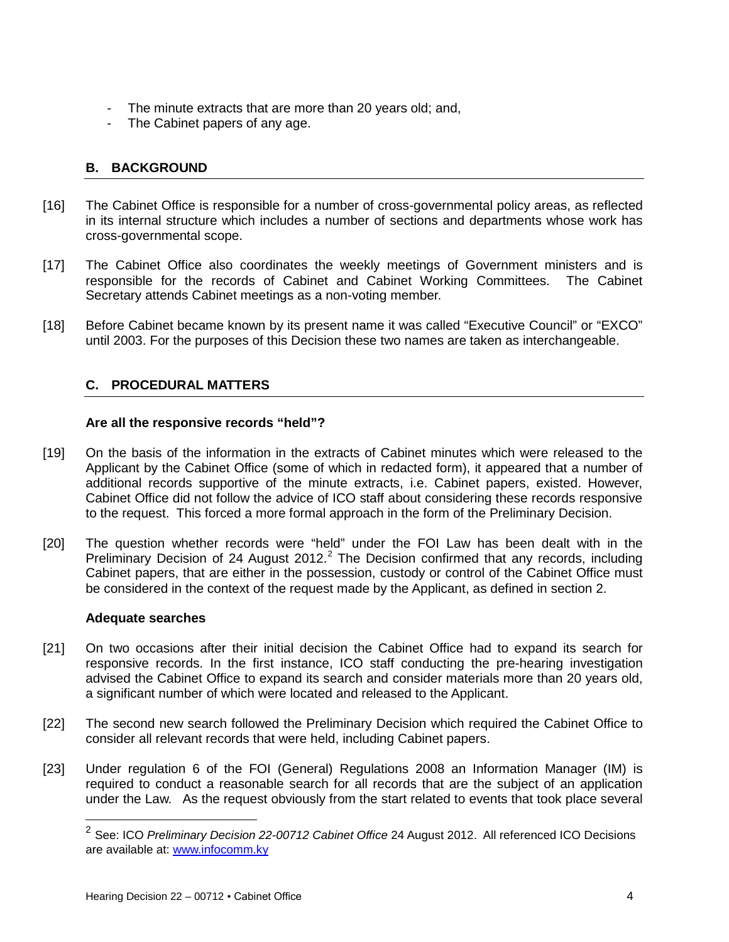- The minute extracts that are more than 20 years old; and,
- The Cabinet papers of any age.

## <span id="page-3-0"></span>**B. BACKGROUND**

- [16] The Cabinet Office is responsible for a number of cross-governmental policy areas, as reflected in its internal structure which includes a number of sections and departments whose work has cross-governmental scope.
- [17] The Cabinet Office also coordinates the weekly meetings of Government ministers and is responsible for the records of Cabinet and Cabinet Working Committees. The Cabinet Secretary attends Cabinet meetings as a non-voting member.
- [18] Before Cabinet became known by its present name it was called "Executive Council" or "EXCO" until 2003. For the purposes of this Decision these two names are taken as interchangeable.

## <span id="page-3-1"></span>**C. PROCEDURAL MATTERS**

#### **Are all the responsive records "held"?**

- [19] On the basis of the information in the extracts of Cabinet minutes which were released to the Applicant by the Cabinet Office (some of which in redacted form), it appeared that a number of additional records supportive of the minute extracts, i.e. Cabinet papers, existed. However, Cabinet Office did not follow the advice of ICO staff about considering these records responsive to the request. This forced a more formal approach in the form of the Preliminary Decision.
- [20] The question whether records were "held" under the FOI Law has been dealt with in the Preliminary Decision of [2](#page-3-2)4 August  $2012<sup>2</sup>$  The Decision confirmed that any records, including Cabinet papers, that are either in the possession, custody or control of the Cabinet Office must be considered in the context of the request made by the Applicant, as defined in section 2.

#### **Adequate searches**

- [21] On two occasions after their initial decision the Cabinet Office had to expand its search for responsive records. In the first instance, ICO staff conducting the pre-hearing investigation advised the Cabinet Office to expand its search and consider materials more than 20 years old, a significant number of which were located and released to the Applicant.
- [22] The second new search followed the Preliminary Decision which required the Cabinet Office to consider all relevant records that were held, including Cabinet papers.
- <span id="page-3-2"></span>[23] Under regulation 6 of the FOI (General) Regulations 2008 an Information Manager (IM) is required to conduct a reasonable search for all records that are the subject of an application under the Law. As the request obviously from the start related to events that took place several

<sup>2</sup> See: ICO *Preliminary Decision 22-00712 Cabinet Office* 24 August 2012. All referenced ICO Decisions are available at: [www.infocomm.ky](http://www.infocomm.ky/)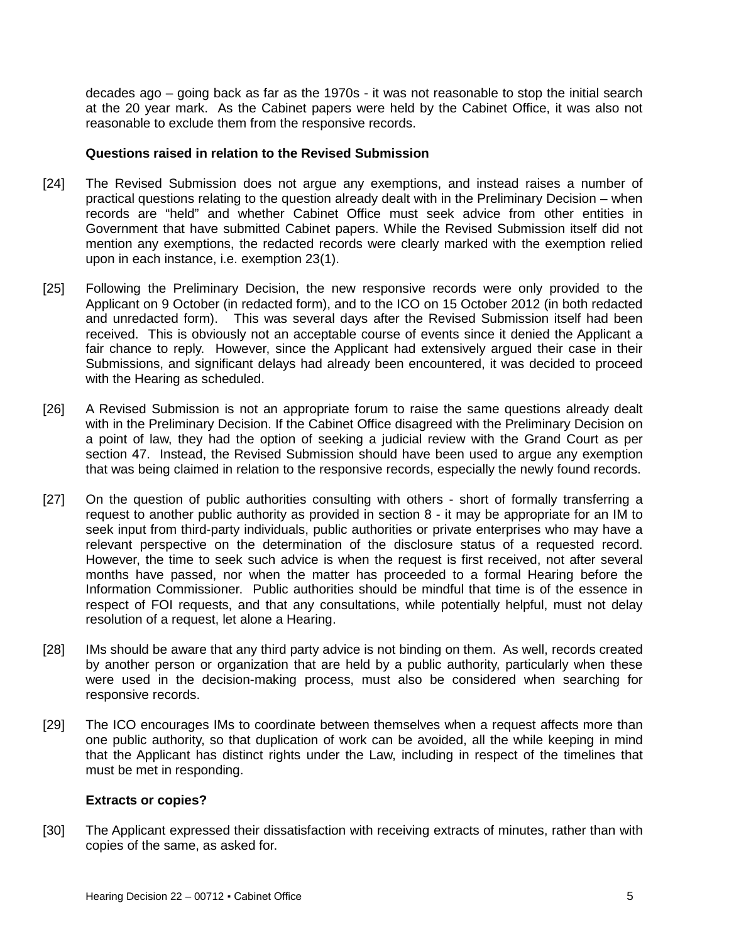decades ago – going back as far as the 1970s - it was not reasonable to stop the initial search at the 20 year mark. As the Cabinet papers were held by the Cabinet Office, it was also not reasonable to exclude them from the responsive records.

#### **Questions raised in relation to the Revised Submission**

- [24] The Revised Submission does not argue any exemptions, and instead raises a number of practical questions relating to the question already dealt with in the Preliminary Decision – when records are "held" and whether Cabinet Office must seek advice from other entities in Government that have submitted Cabinet papers. While the Revised Submission itself did not mention any exemptions, the redacted records were clearly marked with the exemption relied upon in each instance, i.e. exemption 23(1).
- [25] Following the Preliminary Decision, the new responsive records were only provided to the Applicant on 9 October (in redacted form), and to the ICO on 15 October 2012 (in both redacted and unredacted form). This was several days after the Revised Submission itself had been received. This is obviously not an acceptable course of events since it denied the Applicant a fair chance to reply. However, since the Applicant had extensively argued their case in their Submissions, and significant delays had already been encountered, it was decided to proceed with the Hearing as scheduled.
- [26] A Revised Submission is not an appropriate forum to raise the same questions already dealt with in the Preliminary Decision. If the Cabinet Office disagreed with the Preliminary Decision on a point of law, they had the option of seeking a judicial review with the Grand Court as per section 47. Instead, the Revised Submission should have been used to argue any exemption that was being claimed in relation to the responsive records, especially the newly found records.
- [27] On the question of public authorities consulting with others short of formally transferring a request to another public authority as provided in section 8 - it may be appropriate for an IM to seek input from third-party individuals, public authorities or private enterprises who may have a relevant perspective on the determination of the disclosure status of a requested record. However, the time to seek such advice is when the request is first received, not after several months have passed, nor when the matter has proceeded to a formal Hearing before the Information Commissioner. Public authorities should be mindful that time is of the essence in respect of FOI requests, and that any consultations, while potentially helpful, must not delay resolution of a request, let alone a Hearing.
- [28] IMs should be aware that any third party advice is not binding on them. As well, records created by another person or organization that are held by a public authority, particularly when these were used in the decision-making process, must also be considered when searching for responsive records.
- [29] The ICO encourages IMs to coordinate between themselves when a request affects more than one public authority, so that duplication of work can be avoided, all the while keeping in mind that the Applicant has distinct rights under the Law, including in respect of the timelines that must be met in responding.

#### **Extracts or copies?**

[30] The Applicant expressed their dissatisfaction with receiving extracts of minutes, rather than with copies of the same, as asked for.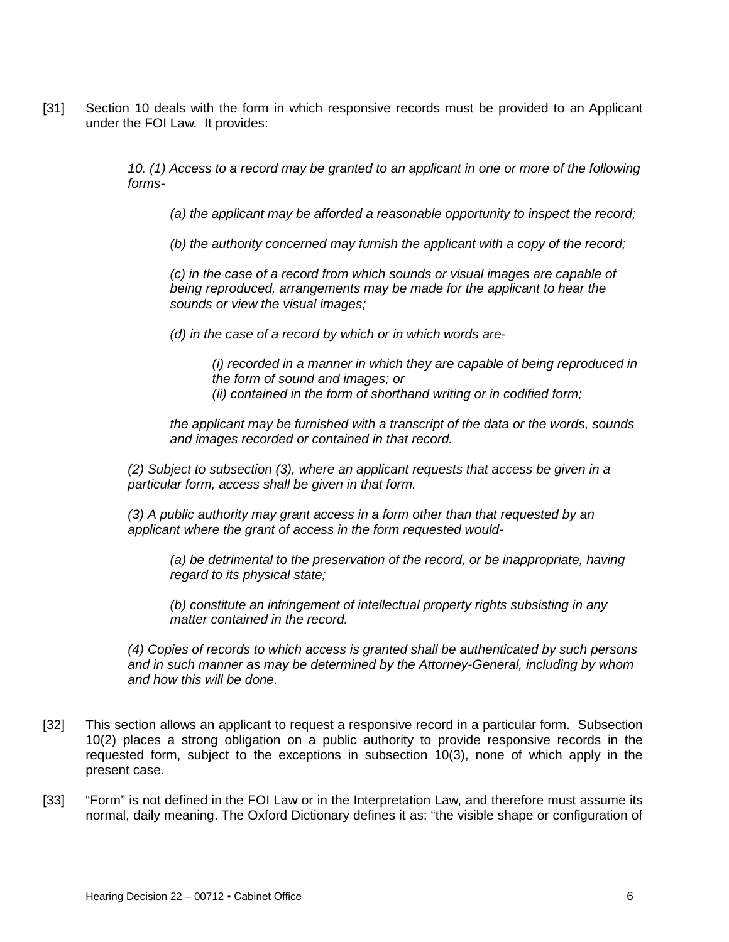[31] Section 10 deals with the form in which responsive records must be provided to an Applicant under the FOI Law. It provides:

> *10. (1) Access to a record may be granted to an applicant in one or more of the following forms-*

*(a) the applicant may be afforded a reasonable opportunity to inspect the record;*

*(b) the authority concerned may furnish the applicant with a copy of the record;*

*(c) in the case of a record from which sounds or visual images are capable of being reproduced, arrangements may be made for the applicant to hear the sounds or view the visual images;*

*(d) in the case of a record by which or in which words are-*

*(i) recorded in a manner in which they are capable of being reproduced in the form of sound and images; or (ii) contained in the form of shorthand writing or in codified form;*

*the applicant may be furnished with a transcript of the data or the words, sounds and images recorded or contained in that record.*

*(2) Subject to subsection (3), where an applicant requests that access be given in a particular form, access shall be given in that form.*

*(3) A public authority may grant access in a form other than that requested by an applicant where the grant of access in the form requested would-*

*(a) be detrimental to the preservation of the record, or be inappropriate, having regard to its physical state;*

*(b) constitute an infringement of intellectual property rights subsisting in any matter contained in the record.*

*(4) Copies of records to which access is granted shall be authenticated by such persons and in such manner as may be determined by the Attorney-General, including by whom and how this will be done.*

- [32] This section allows an applicant to request a responsive record in a particular form. Subsection 10(2) places a strong obligation on a public authority to provide responsive records in the requested form, subject to the exceptions in subsection 10(3), none of which apply in the present case.
- [33] "Form" is not defined in the FOI Law or in the Interpretation Law, and therefore must assume its normal, daily meaning. The Oxford Dictionary defines it as: "the visible shape or configuration of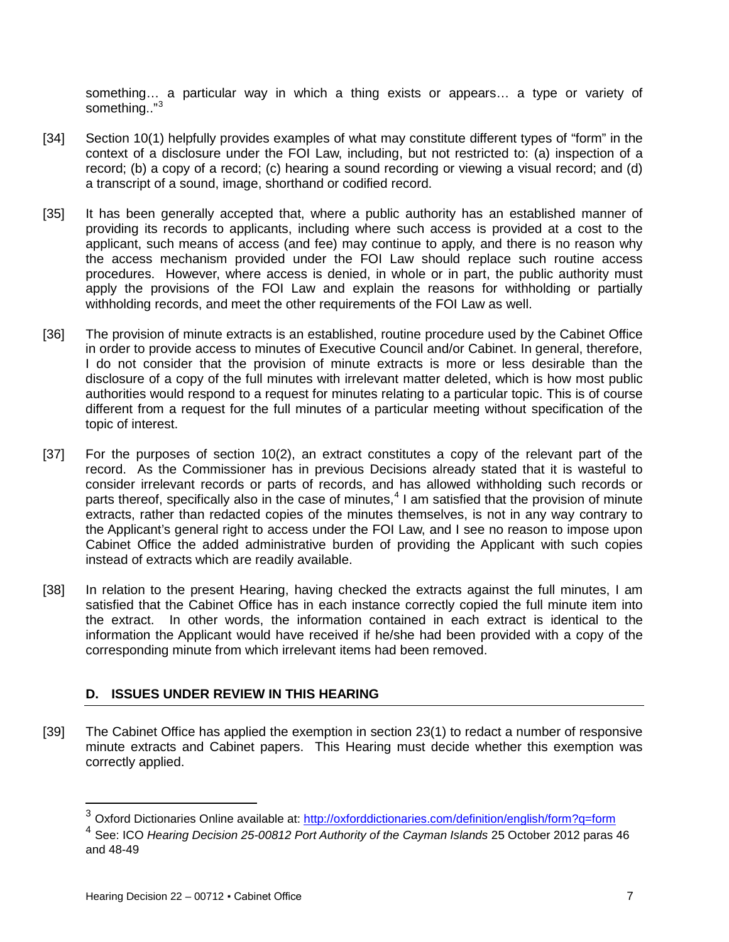something… a particular way in which a thing exists or appears… a type or variety of something.."[3](#page-6-1)

- [34] Section 10(1) helpfully provides examples of what may constitute different types of "form" in the context of a disclosure under the FOI Law, including, but not restricted to: (a) inspection of a record; (b) a copy of a record; (c) hearing a sound recording or viewing a visual record; and (d) a transcript of a sound, image, shorthand or codified record.
- [35] It has been generally accepted that, where a public authority has an established manner of providing its records to applicants, including where such access is provided at a cost to the applicant, such means of access (and fee) may continue to apply, and there is no reason why the access mechanism provided under the FOI Law should replace such routine access procedures. However, where access is denied, in whole or in part, the public authority must apply the provisions of the FOI Law and explain the reasons for withholding or partially withholding records, and meet the other requirements of the FOI Law as well.
- [36] The provision of minute extracts is an established, routine procedure used by the Cabinet Office in order to provide access to minutes of Executive Council and/or Cabinet. In general, therefore, I do not consider that the provision of minute extracts is more or less desirable than the disclosure of a copy of the full minutes with irrelevant matter deleted, which is how most public authorities would respond to a request for minutes relating to a particular topic. This is of course different from a request for the full minutes of a particular meeting without specification of the topic of interest.
- [37] For the purposes of section 10(2), an extract constitutes a copy of the relevant part of the record. As the Commissioner has in previous Decisions already stated that it is wasteful to consider irrelevant records or parts of records, and has allowed withholding such records or parts thereof, specifically also in the case of minutes,<sup>[4](#page-6-2)</sup> I am satisfied that the provision of minute extracts, rather than redacted copies of the minutes themselves, is not in any way contrary to the Applicant's general right to access under the FOI Law, and I see no reason to impose upon Cabinet Office the added administrative burden of providing the Applicant with such copies instead of extracts which are readily available.
- [38] In relation to the present Hearing, having checked the extracts against the full minutes, I am satisfied that the Cabinet Office has in each instance correctly copied the full minute item into the extract. In other words, the information contained in each extract is identical to the information the Applicant would have received if he/she had been provided with a copy of the corresponding minute from which irrelevant items had been removed.

## <span id="page-6-0"></span>**D. ISSUES UNDER REVIEW IN THIS HEARING**

[39] The Cabinet Office has applied the exemption in section 23(1) to redact a number of responsive minute extracts and Cabinet papers. This Hearing must decide whether this exemption was correctly applied.

<span id="page-6-1"></span><sup>3</sup> Oxford Dictionaries Online available at:<http://oxforddictionaries.com/definition/english/form?q=form>

<span id="page-6-2"></span><sup>4</sup> See: ICO *Hearing Decision 25-00812 Port Authority of the Cayman Islands* 25 October 2012 paras 46 and 48-49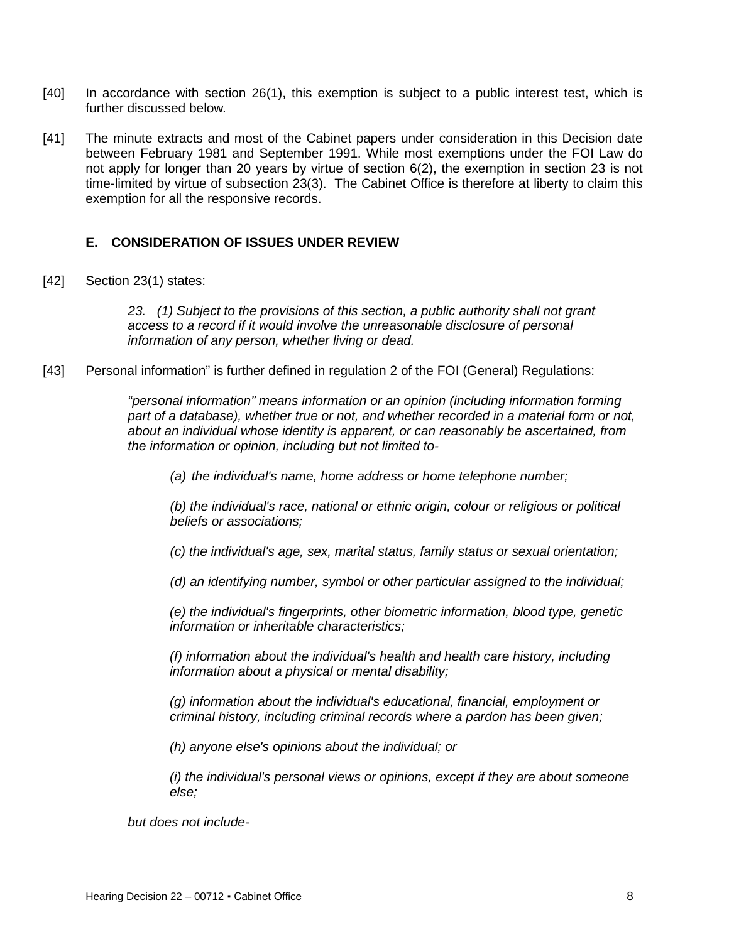- [40] In accordance with section 26(1), this exemption is subject to a public interest test, which is further discussed below.
- [41] The minute extracts and most of the Cabinet papers under consideration in this Decision date between February 1981 and September 1991. While most exemptions under the FOI Law do not apply for longer than 20 years by virtue of section 6(2), the exemption in section 23 is not time-limited by virtue of subsection 23(3). The Cabinet Office is therefore at liberty to claim this exemption for all the responsive records.

## <span id="page-7-1"></span><span id="page-7-0"></span>**E. CONSIDERATION OF ISSUES UNDER REVIEW**

[42] Section 23(1) states:

*23. (1) Subject to the provisions of this section, a public authority shall not grant access to a record if it would involve the unreasonable disclosure of personal information of any person, whether living or dead.*

[43] Personal information" is further defined in regulation 2 of the FOI (General) Regulations:

*"personal information" means information or an opinion (including information forming part of a database), whether true or not, and whether recorded in a material form or not, about an individual whose identity is apparent, or can reasonably be ascertained, from the information or opinion, including but not limited to-*

*(a) the individual's name, home address or home telephone number;*

*(b) the individual's race, national or ethnic origin, colour or religious or political beliefs or associations;*

*(c) the individual's age, sex, marital status, family status or sexual orientation;*

*(d) an identifying number, symbol or other particular assigned to the individual;*

*(e) the individual's fingerprints, other biometric information, blood type, genetic information or inheritable characteristics;*

*(f) information about the individual's health and health care history, including information about a physical or mental disability;*

*(g) information about the individual's educational, financial, employment or criminal history, including criminal records where a pardon has been given;*

*(h) anyone else's opinions about the individual; or*

*(i) the individual's personal views or opinions, except if they are about someone else;*

*but does not include-*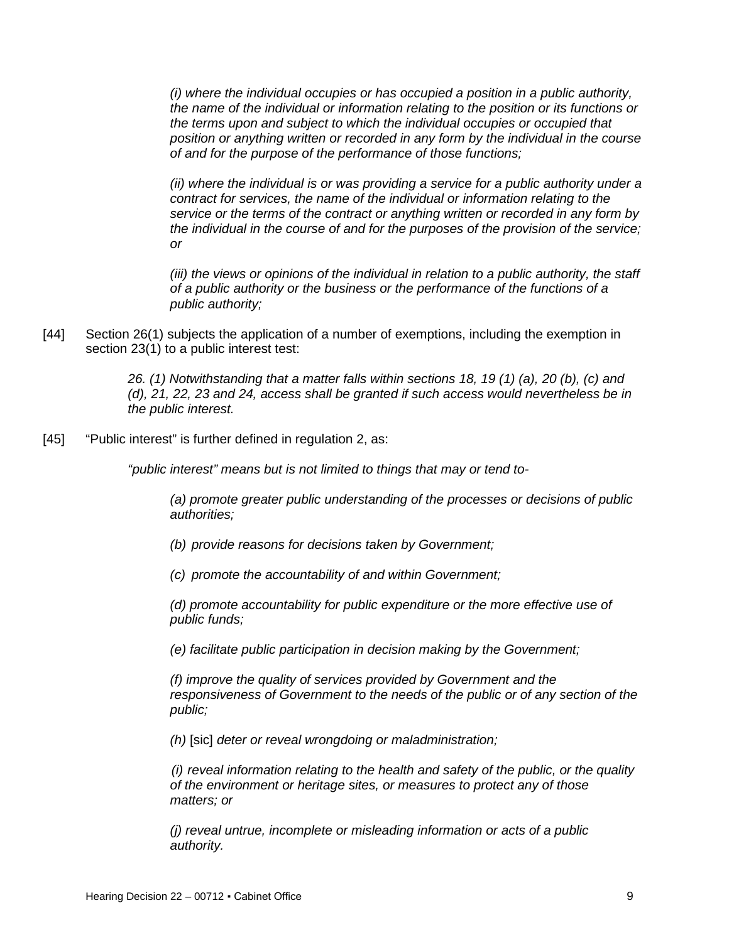*(i) where the individual occupies or has occupied a position in a public authority, the name of the individual or information relating to the position or its functions or the terms upon and subject to which the individual occupies or occupied that position or anything written or recorded in any form by the individual in the course of and for the purpose of the performance of those functions;*

*(ii) where the individual is or was providing a service for a public authority under a contract for services, the name of the individual or information relating to the service or the terms of the contract or anything written or recorded in any form by the individual in the course of and for the purposes of the provision of the service; or*

*(iii) the views or opinions of the individual in relation to a public authority, the staff of a public authority or the business or the performance of the functions of a public authority;*

[44] Section 26(1) subjects the application of a number of exemptions, including the exemption in section 23(1) to a public interest test:

> *26. (1) Notwithstanding that a matter falls within sections 18, 19 (1) (a), 20 (b), (c) and (d), 21, 22, 23 and 24, access shall be granted if such access would nevertheless be in the public interest.*

[45] "Public interest" is further defined in regulation 2, as:

*"public interest" means but is not limited to things that may or tend to-*

*(a) promote greater public understanding of the processes or decisions of public authorities;*

*(b) provide reasons for decisions taken by Government;*

*(c) promote the accountability of and within Government;*

*(d) promote accountability for public expenditure or the more effective use of public funds;*

*(e) facilitate public participation in decision making by the Government;*

*(f) improve the quality of services provided by Government and the responsiveness of Government to the needs of the public or of any section of the public;*

*(h)* [sic] *deter or reveal wrongdoing or maladministration;*

*(i) reveal information relating to the health and safety of the public, or the quality of the environment or heritage sites, or measures to protect any of those matters; or*

*(j) reveal untrue, incomplete or misleading information or acts of a public authority.*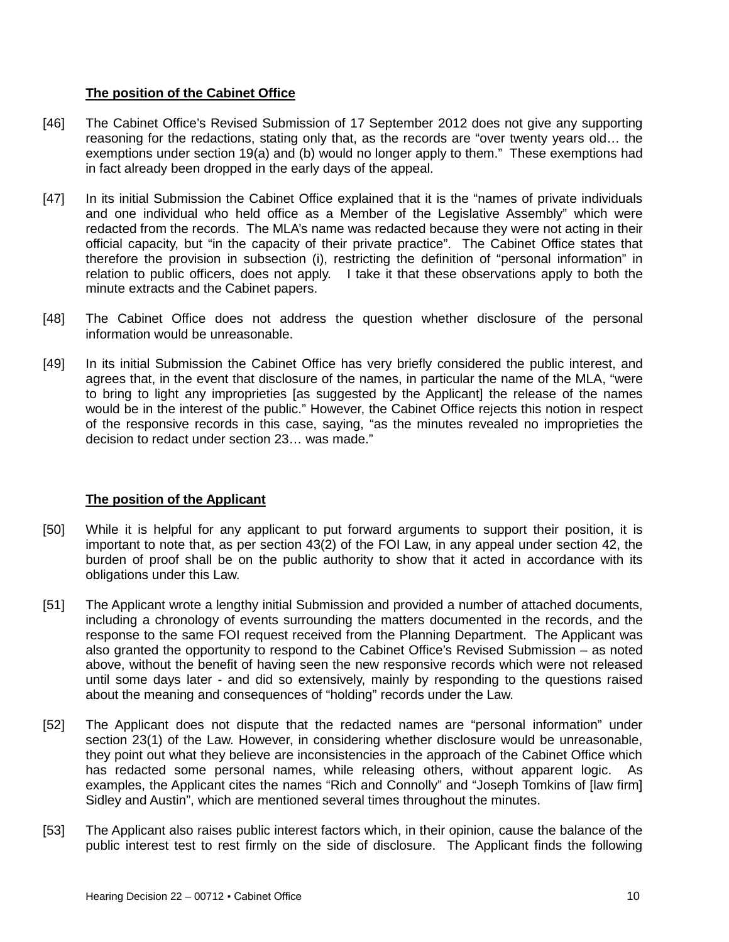## **The position of the Cabinet Office**

- [46] The Cabinet Office's Revised Submission of 17 September 2012 does not give any supporting reasoning for the redactions, stating only that, as the records are "over twenty years old… the exemptions under section 19(a) and (b) would no longer apply to them." These exemptions had in fact already been dropped in the early days of the appeal.
- [47] In its initial Submission the Cabinet Office explained that it is the "names of private individuals and one individual who held office as a Member of the Legislative Assembly" which were redacted from the records. The MLA's name was redacted because they were not acting in their official capacity, but "in the capacity of their private practice". The Cabinet Office states that therefore the provision in subsection (i), restricting the definition of "personal information" in relation to public officers, does not apply. I take it that these observations apply to both the minute extracts and the Cabinet papers.
- [48] The Cabinet Office does not address the question whether disclosure of the personal information would be unreasonable.
- [49] In its initial Submission the Cabinet Office has very briefly considered the public interest, and agrees that, in the event that disclosure of the names, in particular the name of the MLA, "were to bring to light any improprieties [as suggested by the Applicant] the release of the names would be in the interest of the public." However, the Cabinet Office rejects this notion in respect of the responsive records in this case, saying, "as the minutes revealed no improprieties the decision to redact under section 23… was made."

## **The position of the Applicant**

- [50] While it is helpful for any applicant to put forward arguments to support their position, it is important to note that, as per section 43(2) of the FOI Law, in any appeal under section 42, the burden of proof shall be on the public authority to show that it acted in accordance with its obligations under this Law.
- [51] The Applicant wrote a lengthy initial Submission and provided a number of attached documents, including a chronology of events surrounding the matters documented in the records, and the response to the same FOI request received from the Planning Department. The Applicant was also granted the opportunity to respond to the Cabinet Office's Revised Submission – as noted above, without the benefit of having seen the new responsive records which were not released until some days later - and did so extensively, mainly by responding to the questions raised about the meaning and consequences of "holding" records under the Law.
- [52] The Applicant does not dispute that the redacted names are "personal information" under section 23(1) of the Law. However, in considering whether disclosure would be unreasonable, they point out what they believe are inconsistencies in the approach of the Cabinet Office which has redacted some personal names, while releasing others, without apparent logic. As examples, the Applicant cites the names "Rich and Connolly" and "Joseph Tomkins of [law firm] Sidley and Austin", which are mentioned several times throughout the minutes.
- [53] The Applicant also raises public interest factors which, in their opinion, cause the balance of the public interest test to rest firmly on the side of disclosure. The Applicant finds the following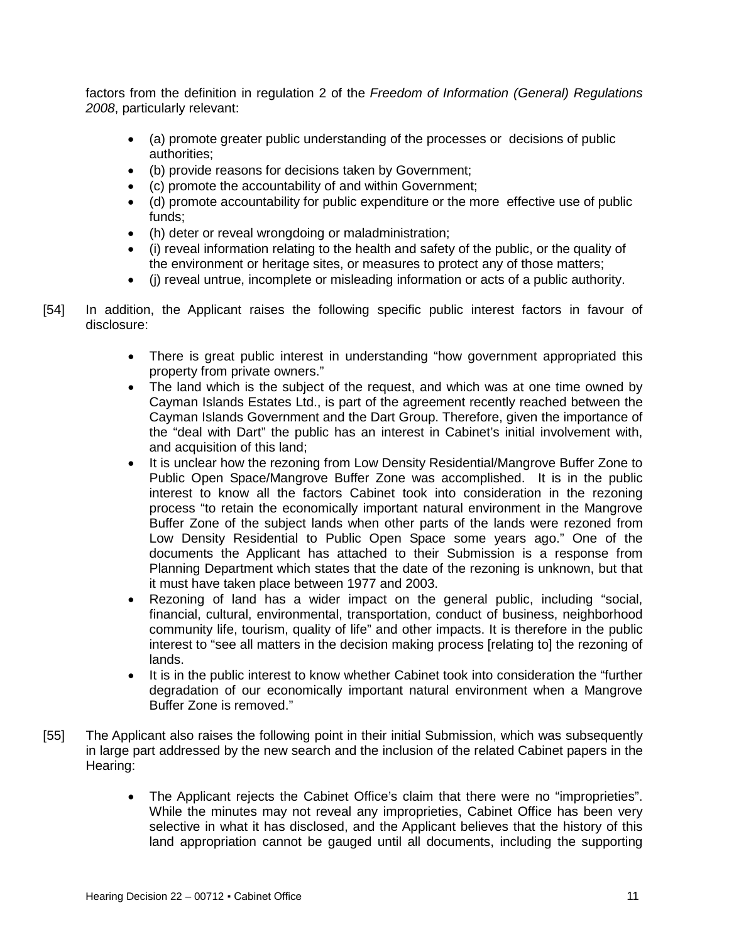factors from the definition in regulation 2 of the *Freedom of Information (General) Regulations 2008*, particularly relevant:

- (a) promote greater public understanding of the processes or decisions of public authorities;
- (b) provide reasons for decisions taken by Government;
- (c) promote the accountability of and within Government;
- (d) promote accountability for public expenditure or the more effective use of public funds;
- (h) deter or reveal wrongdoing or maladministration;
- (i) reveal information relating to the health and safety of the public, or the quality of the environment or heritage sites, or measures to protect any of those matters;
- (j) reveal untrue, incomplete or misleading information or acts of a public authority.
- [54] In addition, the Applicant raises the following specific public interest factors in favour of disclosure:
	- There is great public interest in understanding "how government appropriated this property from private owners."
	- The land which is the subject of the request, and which was at one time owned by Cayman Islands Estates Ltd., is part of the agreement recently reached between the Cayman Islands Government and the Dart Group. Therefore, given the importance of the "deal with Dart" the public has an interest in Cabinet's initial involvement with, and acquisition of this land;
	- It is unclear how the rezoning from Low Density Residential/Mangrove Buffer Zone to Public Open Space/Mangrove Buffer Zone was accomplished. It is in the public interest to know all the factors Cabinet took into consideration in the rezoning process "to retain the economically important natural environment in the Mangrove Buffer Zone of the subject lands when other parts of the lands were rezoned from Low Density Residential to Public Open Space some years ago." One of the documents the Applicant has attached to their Submission is a response from Planning Department which states that the date of the rezoning is unknown, but that it must have taken place between 1977 and 2003.
	- Rezoning of land has a wider impact on the general public, including "social, financial, cultural, environmental, transportation, conduct of business, neighborhood community life, tourism, quality of life" and other impacts. It is therefore in the public interest to "see all matters in the decision making process [relating to] the rezoning of lands.
	- It is in the public interest to know whether Cabinet took into consideration the "further degradation of our economically important natural environment when a Mangrove Buffer Zone is removed."
- [55] The Applicant also raises the following point in their initial Submission, which was subsequently in large part addressed by the new search and the inclusion of the related Cabinet papers in the Hearing:
	- The Applicant rejects the Cabinet Office's claim that there were no "improprieties". While the minutes may not reveal any improprieties, Cabinet Office has been very selective in what it has disclosed, and the Applicant believes that the history of this land appropriation cannot be gauged until all documents, including the supporting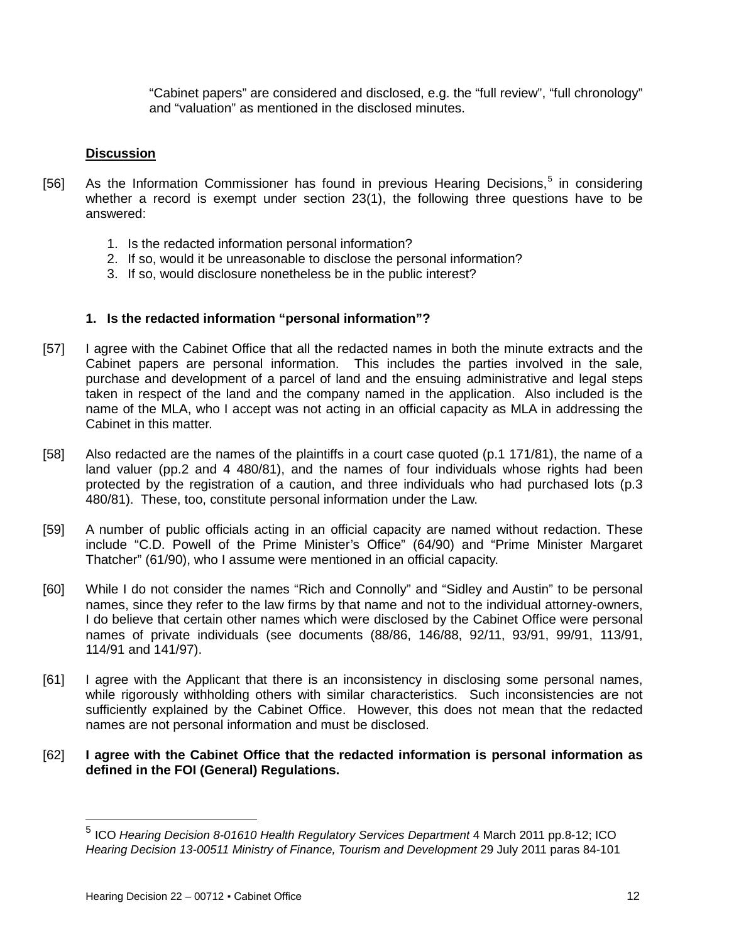"Cabinet papers" are considered and disclosed, e.g. the "full review", "full chronology" and "valuation" as mentioned in the disclosed minutes.

## **Discussion**

- [[5](#page-11-0)6] As the Information Commissioner has found in previous Hearing Decisions,<sup>5</sup> in considering whether a record is exempt under section 23(1), the following three questions have to be answered:
	- 1. Is the redacted information personal information?
	- 2. If so, would it be unreasonable to disclose the personal information?
	- 3. If so, would disclosure nonetheless be in the public interest?

## **1. Is the redacted information "personal information"?**

- [57] I agree with the Cabinet Office that all the redacted names in both the minute extracts and the Cabinet papers are personal information. This includes the parties involved in the sale, purchase and development of a parcel of land and the ensuing administrative and legal steps taken in respect of the land and the company named in the application. Also included is the name of the MLA, who I accept was not acting in an official capacity as MLA in addressing the Cabinet in this matter.
- [58] Also redacted are the names of the plaintiffs in a court case quoted (p.1 171/81), the name of a land valuer (pp.2 and 4 480/81), and the names of four individuals whose rights had been protected by the registration of a caution, and three individuals who had purchased lots (p.3 480/81). These, too, constitute personal information under the Law.
- [59] A number of public officials acting in an official capacity are named without redaction. These include "C.D. Powell of the Prime Minister's Office" (64/90) and "Prime Minister Margaret Thatcher" (61/90), who I assume were mentioned in an official capacity.
- [60] While I do not consider the names "Rich and Connolly" and "Sidley and Austin" to be personal names, since they refer to the law firms by that name and not to the individual attorney-owners, I do believe that certain other names which were disclosed by the Cabinet Office were personal names of private individuals (see documents (88/86, 146/88, 92/11, 93/91, 99/91, 113/91, 114/91 and 141/97).
- [61] I agree with the Applicant that there is an inconsistency in disclosing some personal names, while rigorously withholding others with similar characteristics. Such inconsistencies are not sufficiently explained by the Cabinet Office. However, this does not mean that the redacted names are not personal information and must be disclosed.
- [62] **I agree with the Cabinet Office that the redacted information is personal information as defined in the FOI (General) Regulations.**

<span id="page-11-0"></span><sup>5</sup> ICO *Hearing Decision 8-01610 Health Regulatory Services Department* 4 March 2011 pp.8-12; ICO *Hearing Decision 13-00511 Ministry of Finance, Tourism and Development* 29 July 2011 paras 84-101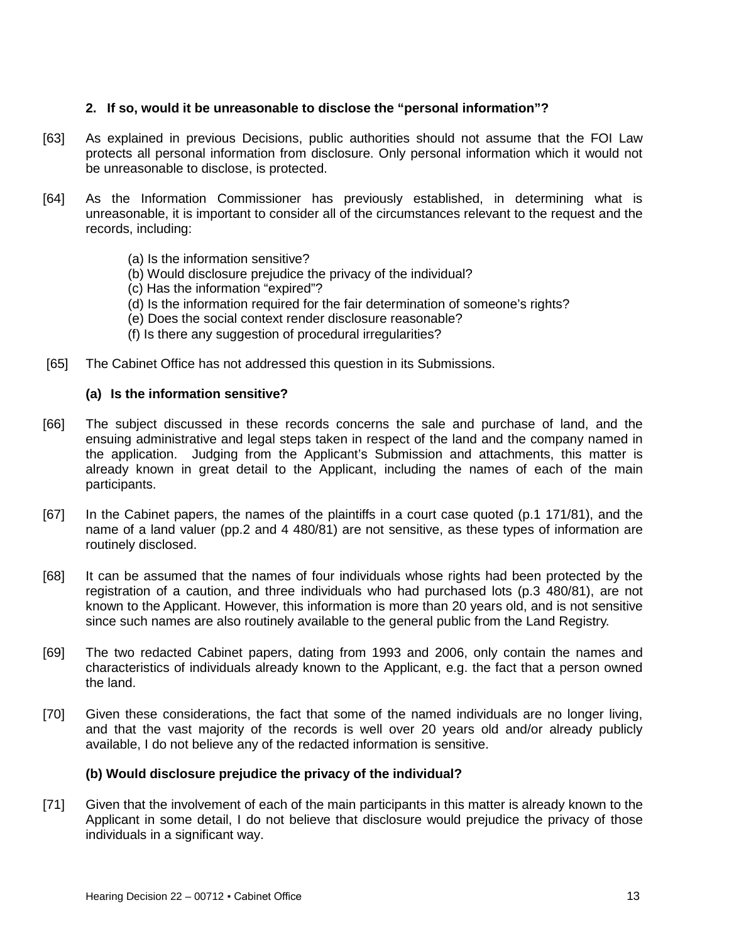## **2. If so, would it be unreasonable to disclose the "personal information"?**

- [63] As explained in previous Decisions, public authorities should not assume that the FOI Law protects all personal information from disclosure. Only personal information which it would not be unreasonable to disclose, is protected.
- [64] As the Information Commissioner has previously established, in determining what is unreasonable, it is important to consider all of the circumstances relevant to the request and the records, including:
	- (a) Is the information sensitive?
	- (b) Would disclosure prejudice the privacy of the individual?
	- (c) Has the information "expired"?
	- (d) Is the information required for the fair determination of someone's rights?
	- (e) Does the social context render disclosure reasonable?
	- (f) Is there any suggestion of procedural irregularities?
- [65] The Cabinet Office has not addressed this question in its Submissions.

#### **(a) Is the information sensitive?**

- [66] The subject discussed in these records concerns the sale and purchase of land, and the ensuing administrative and legal steps taken in respect of the land and the company named in the application. Judging from the Applicant's Submission and attachments, this matter is already known in great detail to the Applicant, including the names of each of the main participants.
- [67] In the Cabinet papers, the names of the plaintiffs in a court case quoted (p.1 171/81), and the name of a land valuer (pp.2 and 4 480/81) are not sensitive, as these types of information are routinely disclosed.
- [68] It can be assumed that the names of four individuals whose rights had been protected by the registration of a caution, and three individuals who had purchased lots (p.3 480/81), are not known to the Applicant. However, this information is more than 20 years old, and is not sensitive since such names are also routinely available to the general public from the Land Registry.
- [69] The two redacted Cabinet papers, dating from 1993 and 2006, only contain the names and characteristics of individuals already known to the Applicant, e.g. the fact that a person owned the land.
- [70] Given these considerations, the fact that some of the named individuals are no longer living, and that the vast majority of the records is well over 20 years old and/or already publicly available, I do not believe any of the redacted information is sensitive.

## **(b) Would disclosure prejudice the privacy of the individual?**

[71] Given that the involvement of each of the main participants in this matter is already known to the Applicant in some detail, I do not believe that disclosure would prejudice the privacy of those individuals in a significant way.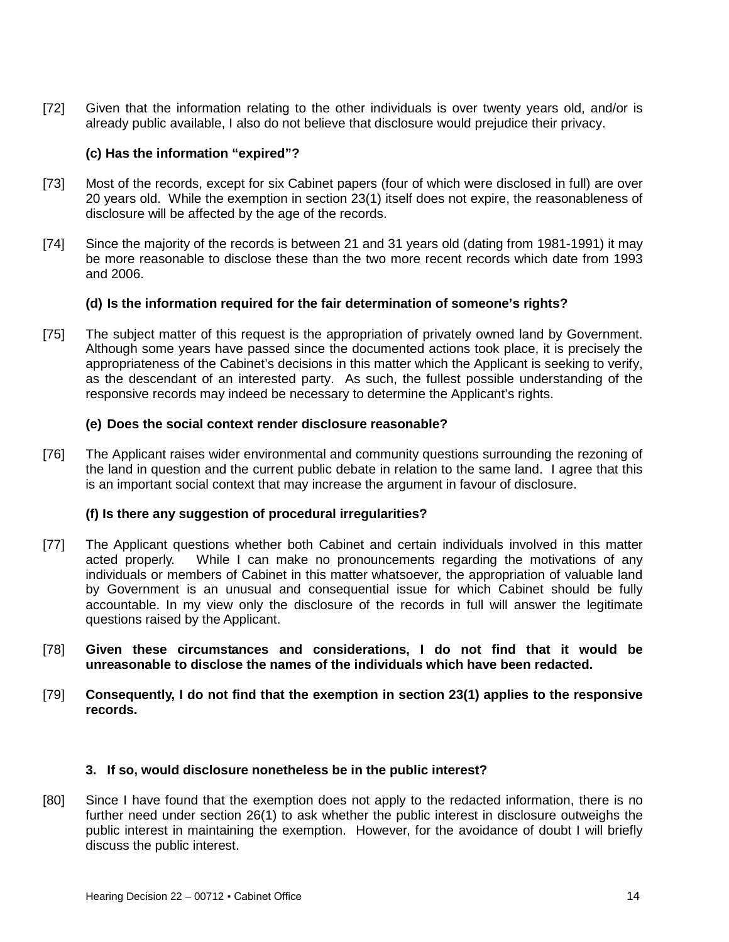[72] Given that the information relating to the other individuals is over twenty years old, and/or is already public available, I also do not believe that disclosure would prejudice their privacy.

## **(c) Has the information "expired"?**

- [73] Most of the records, except for six Cabinet papers (four of which were disclosed in full) are over 20 years old. While the exemption in section 23(1) itself does not expire, the reasonableness of disclosure will be affected by the age of the records.
- [74] Since the majority of the records is between 21 and 31 years old (dating from 1981-1991) it may be more reasonable to disclose these than the two more recent records which date from 1993 and 2006.

## **(d) Is the information required for the fair determination of someone's rights?**

[75] The subject matter of this request is the appropriation of privately owned land by Government. Although some years have passed since the documented actions took place, it is precisely the appropriateness of the Cabinet's decisions in this matter which the Applicant is seeking to verify, as the descendant of an interested party. As such, the fullest possible understanding of the responsive records may indeed be necessary to determine the Applicant's rights.

## **(e) Does the social context render disclosure reasonable?**

[76] The Applicant raises wider environmental and community questions surrounding the rezoning of the land in question and the current public debate in relation to the same land. I agree that this is an important social context that may increase the argument in favour of disclosure.

## **(f) Is there any suggestion of procedural irregularities?**

- [77] The Applicant questions whether both Cabinet and certain individuals involved in this matter acted properly. While I can make no pronouncements regarding the motivations of any individuals or members of Cabinet in this matter whatsoever, the appropriation of valuable land by Government is an unusual and consequential issue for which Cabinet should be fully accountable. In my view only the disclosure of the records in full will answer the legitimate questions raised by the Applicant.
- [78] **Given these circumstances and considerations, I do not find that it would be unreasonable to disclose the names of the individuals which have been redacted.**
- [79] **Consequently, I do not find that the exemption in section 23(1) applies to the responsive records.**

## **3. If so, would disclosure nonetheless be in the public interest?**

[80] Since I have found that the exemption does not apply to the redacted information, there is no further need under section 26(1) to ask whether the public interest in disclosure outweighs the public interest in maintaining the exemption. However, for the avoidance of doubt I will briefly discuss the public interest.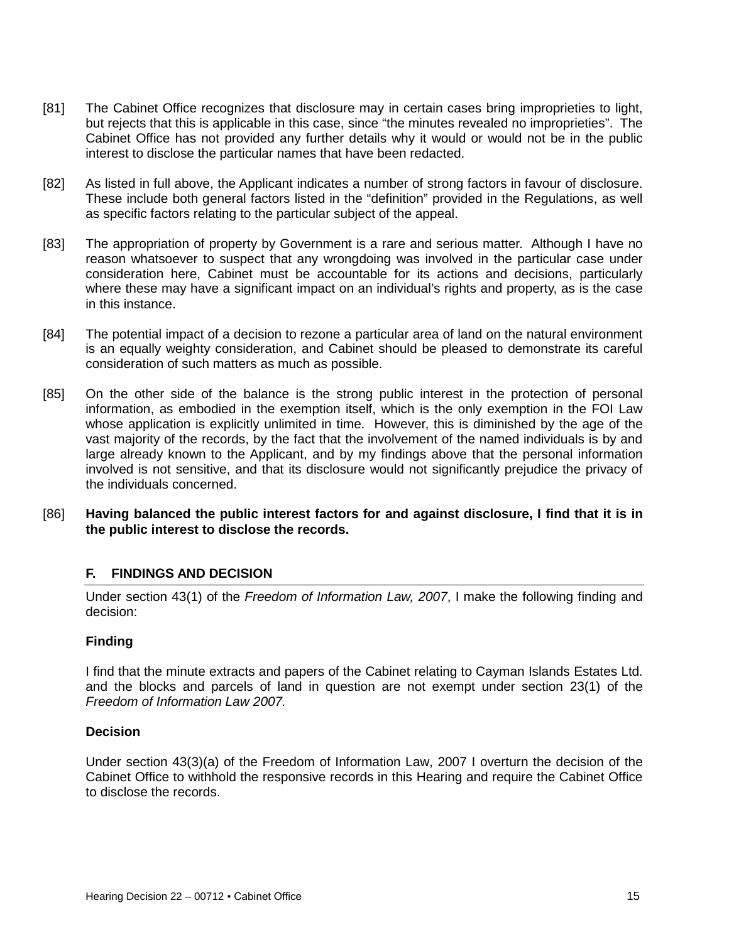- [81] The Cabinet Office recognizes that disclosure may in certain cases bring improprieties to light, but rejects that this is applicable in this case, since "the minutes revealed no improprieties". The Cabinet Office has not provided any further details why it would or would not be in the public interest to disclose the particular names that have been redacted.
- [82] As listed in full above, the Applicant indicates a number of strong factors in favour of disclosure. These include both general factors listed in the "definition" provided in the Regulations, as well as specific factors relating to the particular subject of the appeal.
- [83] The appropriation of property by Government is a rare and serious matter. Although I have no reason whatsoever to suspect that any wrongdoing was involved in the particular case under consideration here, Cabinet must be accountable for its actions and decisions, particularly where these may have a significant impact on an individual's rights and property, as is the case in this instance.
- [84] The potential impact of a decision to rezone a particular area of land on the natural environment is an equally weighty consideration, and Cabinet should be pleased to demonstrate its careful consideration of such matters as much as possible.
- [85] On the other side of the balance is the strong public interest in the protection of personal information, as embodied in the exemption itself, which is the only exemption in the FOI Law whose application is explicitly unlimited in time. However, this is diminished by the age of the vast majority of the records, by the fact that the involvement of the named individuals is by and large already known to the Applicant, and by my findings above that the personal information involved is not sensitive, and that its disclosure would not significantly prejudice the privacy of the individuals concerned.
- [86] **Having balanced the public interest factors for and against disclosure, I find that it is in the public interest to disclose the records.**

## **F. FINDINGS AND DECISION**

Under section 43(1) of the *Freedom of Information Law, 2007*, I make the following finding and decision:

## **Finding**

I find that the minute extracts and papers of the Cabinet relating to Cayman Islands Estates Ltd. and the blocks and parcels of land in question are not exempt under section 23(1) of the *Freedom of Information Law 2007.*

## **Decision**

Under section 43(3)(a) of the Freedom of Information Law, 2007 I overturn the decision of the Cabinet Office to withhold the responsive records in this Hearing and require the Cabinet Office to disclose the records.